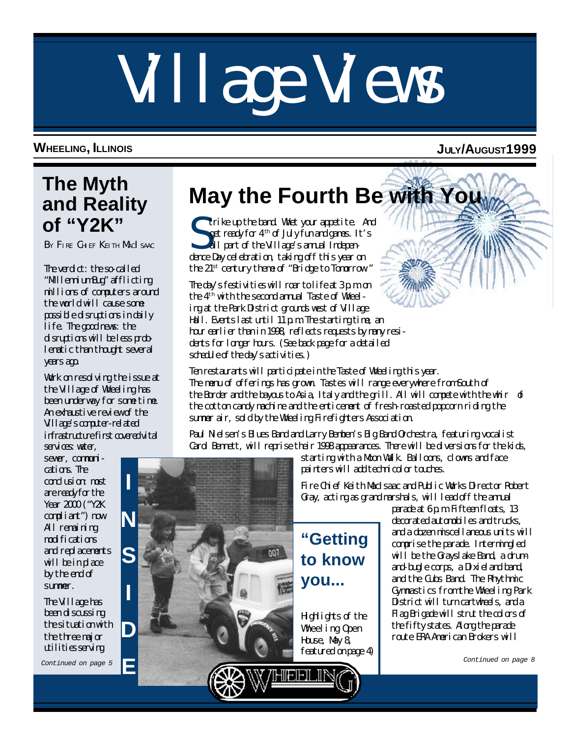# Village Views

#### **WHEELING, ILLINOIS JULY/AUGUST1999**

## **The Myth and Reality of "Y2K"**

BY FIRE CHIEF KEITH MACI SAAC

The verdict: the so-called "Mllennium Bug" afflicting millions of computers around the world will cause some possible disruptions in daily life. The good news: the disruptions will be less problematic than thought several years ago.

Work on resolving the issue at the Village of Wheeling has been underway for some time. An exhaustive review of the Village's computer-related infrastructure first covered vital services water.

sewer, communications. The conclusion: most are ready for the Year 2000 ("Y2K compliant") now. All remaining modifications and replacements will be in place by the end of summer.

The Village has been discussing the situation with the three major utilities serving

# **May the Fourth Be with You**

S trike up the band. Whet your appetite. And get ready for  $4^{\text{th}}$  of July fun and games. It's all part of the Village's annual Independence Day celebration, taking off this year on the 21st century theme of "Bridge to Tomorrow."

The day's festivities will roar to life at 3 p.m. on the 4th with the second annual Taste of Wheeling at the Park District grounds west of Village Hall. Events last until 11 p.m. The starting time, an hour earlier than in 1998, reflects requests by many residents for longer hours. (See back page for a detailed schedule of the day's activities.)

Ten restaurants will participate in the Taste of Wheeling this year. The menu of offerings has grown. Tastes will range everywhere from South of the Border and the bayous to Asia, Italy and the grill. All will compete with the whir of the cotton candy machine and the enticement of fresh-roasted popcorn riding the summer air, sold by the Wheeling Firefighters Association.

Paul Nielsen's Blues Band and Larry Bemben's Big Band Orchestra, featuring vocalist Carol Bennett, will reprise their 1998 appearances. There will be diversions for the kids,

starting with a Moon Walk. Balloons, clowns and face painters will add technicolor touches.

Fire Chief Keith MacIsaac and Public Works Director Robert Gray, acting as grand marshals, will lead off the annual

**"Getting to know you...**

Highlights of the Wheeling Open House, May 8, featured on page 4) parade at 6 p.m. Fifteen floats, 13 decorated automobiles and trucks, and a dozen miscellaneous units will comprise the parade. Intermingled will be the Grayslake Band, a drumand-bugle corps, a Dixieland band, and the Cubs Band. The Rhythmic Gymnastics from the Wheeling Park District will turn cartwheels, and a Flag Brigade will strut the colors of the fifty states. Along the parade route ERA American Brokers will

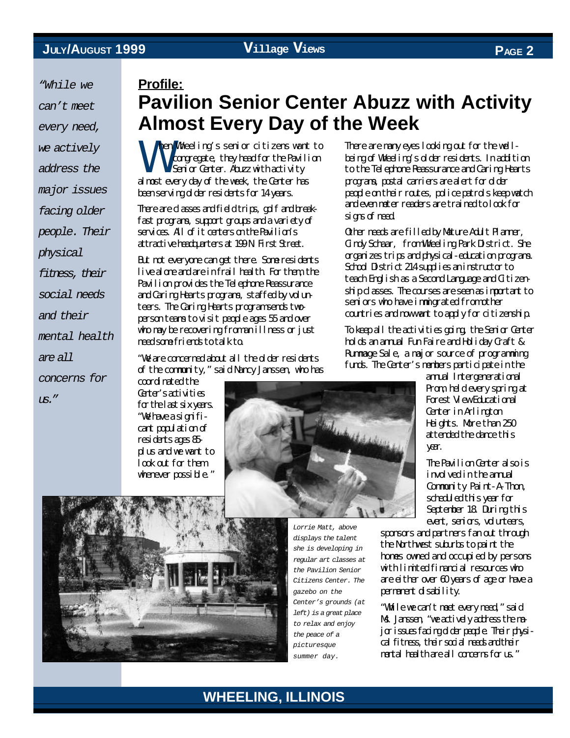coordinated the *"While we can't meet every need, we actively address the major issues facing older people. Their physical fitness, their social needs and their mental health are all concerns for us."*

#### **Profile:**

### **Pavilion Senior Center Abuzz with Activity Almost Every Day of the Week**

W hen Wheeling's senior citizens want to congregate, they head for the Pavilion Senior Center. Abuzz with activity almost every day of the week, the Center has been serving older residents for 14 years.

There are classes and field trips, golf and breakfast programs, support groups and a variety of services. All of it centers on the Pavilion's attractive headquarters at 199 N. First Street.

But not everyone can get there. Some residents live alone and are in frail health. For them, the Pavilion provides the Telephone Reassurance and Caring Hearts programs, staffed by volunteers. The Caring Hearts program sends twoperson teams to visit people ages 55 and over who may be recovering from an illness or just need some friends to talk to.

"We are concerned about all the older residents of the community," said Nancy Janssen, who has

Gater's activities for the last six years. "We have a significant population of residents ages 85 plus and we want to look out for them whenever possible."

There are many eyes looking out for the wellbeing of Wheeling's older residents. In addition to the Telephone Reassurance and Caring Hearts programs, postal carriers are alert for older people on their routes, police patrols keep watch and even meter readers are trained to look for signs of need.

Other needs are filled by Mature Adult Planner, Cindy Schaar, from Wheeling Park District. She organizes trips and physical-education programs. School District 214 supplies an instructor to teach English as a Second Language and Citizenship classes. The courses are seen as important to seniors who have immigrated from other countries and now want to apply for citizenship.

To keep all the activities going, the Senior Center holds an annual Fun Faire and Holiday Craft & Rummage Sale, a major source of programming funds. The Center's members participate in the

> annal Intergenerational Prom, held every spring at Forest View Educational Center in Arlington Heights. More than 250 attended the dance this

> The Pavilion Center also is involved in the annual Community Paint-A-Thon, scheduled this year for September 18. During this event, seniors, volunteers,

sponsors and partners fan out through the Northwest suburbs to paint the homes owned and occupied by persons with limited financial resources who are either over 60 years of age or have a permanent disability.

"While we can't meet every need," said Ms. Janssen, "we actively address the major issues facing older people. Their physical fitness, their social needs and their mental health are all concerns for us."





*Lorrie Matt, above displays the talent she is developing in regular art classes at the Pavilion Senior Citizens Center. The gazebo on the Center's grounds (at left) is a great place to relax and enjoy the peace of a picturesque summer day.*



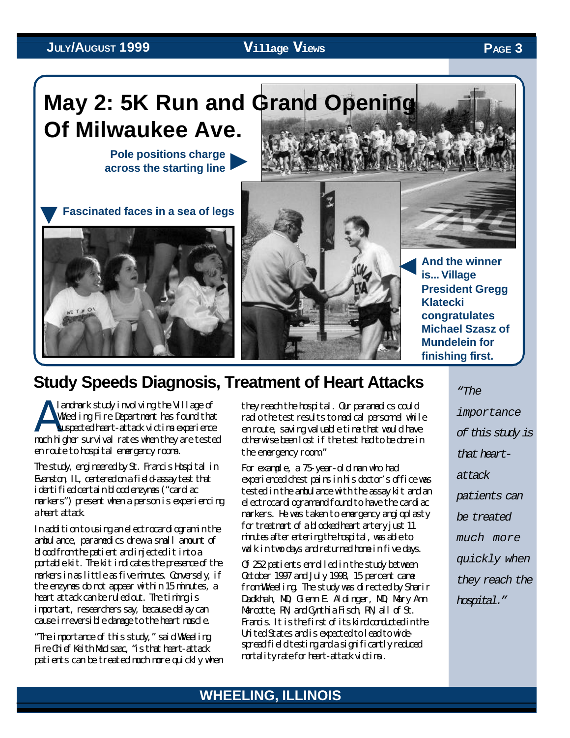### **Pole positions charge May 2: 5K Run and Grand Opening Of Milwaukee Ave.** ▼

**across the starting line**





### **Study Speeds Diagnosis, Treatment of Heart Attacks**

A landmark study involving the Village of Wheeling Fire Department has found that suspected heart-attack victims experience much higher survival rates when they are tested en route to hospital emergency rooms.

The study, engineered by St. Francis Hospital in Evanston, IL, centered on a field-assay test that identified certain blood enzymes ("cardiac markers") present when a person is experiencing a heart attack

In addition to using an electrocardiogram in the ambulance, paramedics drew a small amount of blood from the patient and injected it into a portable kit. The kit indicates the presence of the markers in as little as five minutes. Conversely, if the enzymes do not appear within 15 minutes, a heart attack can be ruled out. The timing is important, researchers say, because delay can cause irreversible damage to the heart muscle.

"The importance of this study," said Wheeling Fire Chief Keith MacIsaac, "is that heart-attack patients can be treated much more quickly when

they reach the hospital. Our paramedics could radio the test results to medical personnel while en route, saving valuable time that would have otherwise been lost if the test had to be done in the emergency room."

For example, a 75-year-old man who had experienced chest pains in his doctor's office was tested in the ambulance with the assay kit and an electrocardiogram and found to have the cardiac markers. He was taken to emergency angioplasty for treatment of a blocked heart artery just 11 minutes after entering the hospital, was able to walk in two days and returned home in five days.

Of 252 patients enrolled in the study between October 1997 and July 1998, 15 percent came from Wheeling. The study was directed by Sharir Dadkhah, MD; Glenn E. Aldinger, MD; Mary Ann Marcotte, RN; and Cynthia Fisch, RN, all of St. Francis. It is the first of its kind conducted in the United States and is expected to lead to widespread field testing and a significantly reduced mortality rate for heart-attack victims .

*"The importance of this study is that heartattack patients can be treated much more quickly when they reach the hospital."*



**President Gregg Klatecki congratulates Michael Szasz of Mundelein for finishing first.**

#### **WHEELING, ILLINOIS**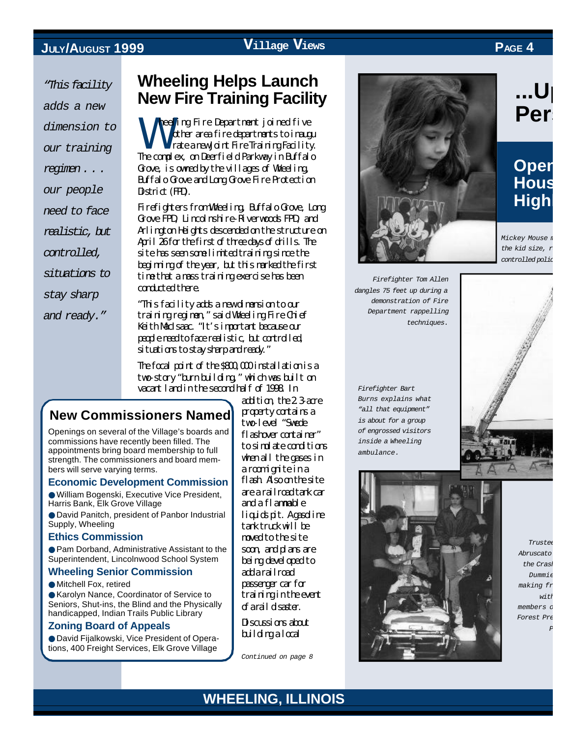#### **JULY/AUGUST 1999**

**Village Views PAGE 4**

*"This facility adds a new dimension to our training regimen . . . our people need to face realistic, but controlled, situations to stay sharp*

*and ready."*

#### **Wheeling Helps Launch New Fire Training Facility**

**W** heeling Fire Department joined five other area fire departments to inaugu rate a new Joint Fire Training Facility. The complex, on Deerfield Parkway in Buffalo Grove, is owned by the villages of Wheeling, Buffalo Grove and Long Grove Fire Protection District (FPD).

Firefighters from Wheeling, Buffalo Grove, Long Grove FPD, Lincolnshire-Riverwoods FPD, and Arlington Heights descended on the structure on April 26 for the first of three days of drills. The site has seen some limited training since the beginning of the year, but this marked the first time that a mass training exercise has been conducted there.

"This facility adds a new dimension to our training regimen," said Wheeling Fire Chief Keith MacIsaac. "It's important because our people need to face realistic, but controlled, situations to stay sharp and ready."

The focal point of the \$800,000 installation is a two-story "burn building," which was built on vacant land in the second half of 1998. In

#### **New Commissioners Named**

Openings on several of the Village's boards and commissions have recently been filled. The appointments bring board membership to full strength. The commissioners and board members will serve varying terms.

#### **Economic Development Commission**

● William Bogenski, Executive Vice President, Harris Bank, Elk Grove Village

● David Panitch, president of Panbor Industrial Supply, Wheeling

#### **Ethics Commission**

● Pam Dorband, Administrative Assistant to the Superintendent, Lincolnwood School System

#### **Wheeling Senior Commission**

● Mitchell Fox, retired

● Karolyn Nance, Coordinator of Service to Seniors, Shut-ins, the Blind and the Physically handicapped, Indian Trails Public Library

#### **Zoning Board of Appeals**

● David Fijalkowski, Vice President of Operations, 400 Freight Services, Elk Grove Village

addition, the 2.3-acre property contains a two-level "Swede flashover container" to simulate conditions when all the gases in a roomignite in a flash. Also on the site are a railroad tank car and a flammable liquids pit. Aggsoline tank truck will be moved to the site soon, and plans are being developed to add a railroad passenger car for training in the event of a rail disaster.

Discussions about building a local

*Continued on page 8*



*Firefighter Tom Allen dangles 75 feet up during a demonstration of Fire Department rappelling techniques.*

*Firefighter Bart Burns explains what "all that equipment" is about for a group of engrossed visitors inside a Wheeling ambulance.*

# *Mickey Mouse* n the kid size, *r controlled police car.*





*Trustee Judy Abruscato joins the Crash Test*  $Dummie$ *making fr*  $w$ *i*  $t$ *i* members of *Forest Pre Police.*

#### **WHEELING, ILLINOIS**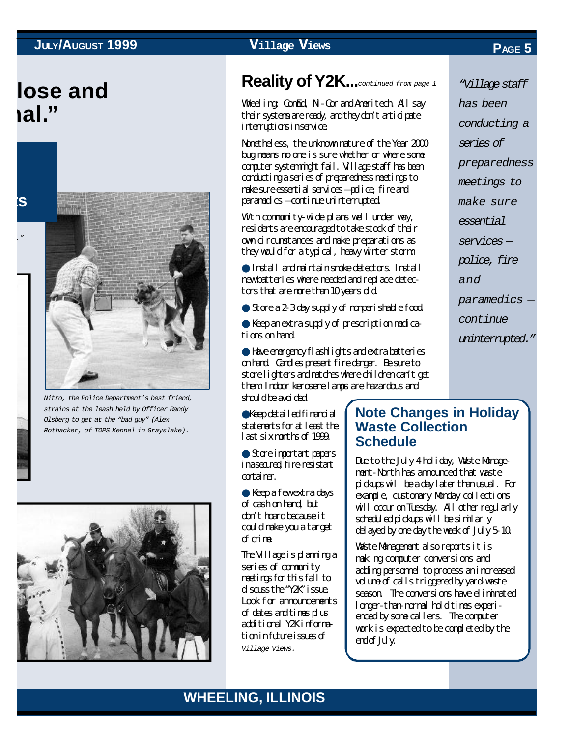## **lose and nal."**

**ts**

*Mickey Mouse meets "PC,"*



*Nitro, the Police Department's best friend, strains at the leash held by Officer Randy Olsberg to get at the "bad guy" (Alex Rothacker, of TOPS Kennel in Grayslake).*



#### **Reality of Y2K....**continued from page 1

Wheeling: ComEd, Ni-Cor and Ameritech. All say their systems are ready, and they don't anticipate interruptions in service.

Nonetheless, the unknown nature of the Year 2000 bug means no one is sure whether or where some computer system might fail. Village staff has been conducting a series of preparedness meetings to make sure essential services — police, fire and paramedics — continue uninterrupted.

With community-wide plans well under way, residents are encouraged to take stock of their own circumstances and make preparations as they would for a typical, heavy winter storm:

● Install and maintain smoke detectors. Install new batteries where needed and replace detectors that are more than 10 years old.

● Store a 2-3 day supply of nonperishable food.

● Keep an extra supply of prescription medications on hand.

● Have emergency flashlights and extra batteries on hand. Candles present fire danger. Be sure to store lighters and matches where children can't get them. Indoor kerosene lamps are hazardous and should be avoided.

●Keep detailed financial statements for at least the last six months of 1999.

● Store important papers ina secured, fire-resistant container.

● Keep a few extra days of cash on hand, but don't hoard because it could make you a target of crime.

The Village is planning a series of community meetings for this fall to discuss the "Y2K" issue. Look for announcements of dates and times plus additional Y2K information in future issues of *Village Views.*

#### **Note Changes in Holiday Waste Collection Schedule**

Due to the July 4 holiday, Waste Management-North has announced that waste pickups will be a day later than usual. For example, customary Monday collections will occur on Tuesday. All other regularly scheduled pickups will be similarly delayed by one day the week of July 5-10.

Waste Management also reports it is making computer conversions and adding personnel to process an increased volume of calls triggered by yard-waste season. The conversions have eliminated longer-than-normal hold times experienced by some callers. The computer work is expected to be completed by the end of July.

#### *conducting a series of preparedness meetings to make sure essential*

*has been*

*services —*

*police, fire*

*and*

*paramedics —*

*continue*

*uninterrupted."*

*continued from page 1 "Village staff*

#### **WHEELING, ILLINOIS WHEELING, ILLINOIS**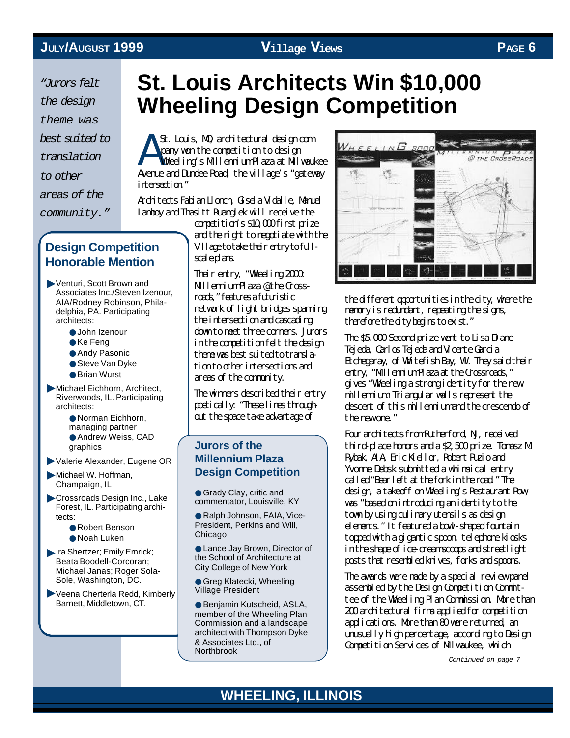A *"Jurors felt the design theme was best suited to translation to other areas of the community."*

#### **Design Competition Honorable Mention**

▶ Venturi, Scott Brown and Associates Inc./Steven Izenour, AIA/Rodney Robinson, Philadelphia, PA. Participating architects:

- John Izenour
- Ke Feng
- Andy Pasonic
- Steve Van Dyke
- Brian Wurst

**Michael Eichhorn, Architect,** Riverwoods, IL. Participating architects:

> ● Norman Eichhorn, managing partner

● Andrew Weiss, CAD

graphics

Valerie Alexander, Eugene OR ▼

**Michael W. Hoffman,** Champaign, IL

Crossroads Design Inc., Lake Forest, IL. Participating archi tects:

- Robert Benson
- Noah Luken

Ira Shertzer; Emily Emrick; Beata Boodell-Corcoran; Michael Janas: Roger Sola-Sole, Washington, DC.

▶ Veena Cherterla Redd, Kimberly Barnett, Middletown, CT.

# **St. Louis Architects Win \$10,000 Wheeling Design Competition**

St. Louis, M, architectural design  $cm$ pany won the competition to design Wheeling's Millennium Plaza at Milwaukee Avenue and Dundee Road, the village's "gateway intersection."

Architects Fabian Llonch, Gisela Vidalle, Manuel Lamboy and Thasitt Ruanglek will receive the

competition's \$10,000 first prize and the right to negotiate with the Village to take their entry to fullscale plans.

Their entry, "Wheeling 2000: Millennium Plaza @ the Crossroads" features a futuristic network of light bridges spanning the intersection and cascading down to meet three corners. Jurors in the competition felt the design theme was best suited to translation to other intersections and areas of the community.

The winners described their entry poetically: "These lines throughout the space take advantage of

#### **Jurors of the Millennium Plaza Design Competition**

● Grady Clay, critic and commentator, Louisville, KY

● Ralph Johnson, FAIA, Vice-President, Perkins and Will, Chicago

● Lance Jay Brown, Director of the School of Architecture at City College of New York

● Greg Klatecki, Wheeling Village President

● Benjamin Kutscheid, ASLA, member of the Wheeling Plan Commission and a landscape architect with Thompson Dyke & Associates Ltd., of Northbrook



the different opportunities in the city, where the memory is redundant, repeating the signs, therefore the city begins to exist."

The \$5,000 Second prize went to Lisa Diane Tejeda, Carlos Tejeda and Vicente Garcia Etchegaray, of Whitefish Bay, WI. They said their entry, "Milennium Plaza at the Crossroads," gives "Wheeling a strong identity for the new millennium. Triangular walls represent the descent of this millennium and the crescendo of the new one."

Four architects from Rutherford, NJ, received third-place honors and a \$2,500 prize. Tomasz M. Rybak, AIA, Eric Kiellor, Robert Puzio and Yvonne Debsk submitted a whimsical entry called "Bear left at the fork in the road." The design, a takeoff on Wheeling's Restaurant Row, was "based on introducing an identity to the town by using culinary utensils as design elements." It featured a bowl-shaped fountain topped with a gigantic spoon, telephone kiosks in the shape of ice-cream scoops and streetlight posts that resembled knives, forks and spoons.

The awards were made by a special review panel assembled by the Design Competition Committee of the Wheeling Plan Commission. More than 200 architectural firms applied for competition applications. More than 80 were returned, an unusually high percentage, according to Design Competition Services of Milwaukee, which

*Continued on page 7*

#### **WHEELING, ILLINOIS**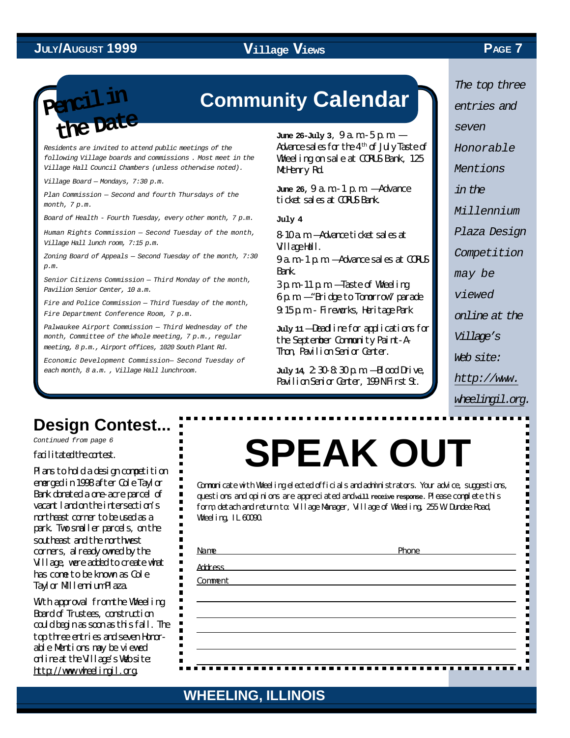

# **Community Calendar Pencil in**

*Residents are invited to attend public meetings of the following Village boards and commissions . Most meet in the Village Hall Council Chambers (unless otherwise noted).*

*Village Board — Mondays, 7:30 p.m.*

*Plan Commission — Second and fourth Thursdays of the month, 7 p.m.*

*Board of Health - Fourth Tuesday, every other month, 7 p.m.*

*Human Rights Commission — Second Tuesday of the month, Village Hall lunch room, 7:15 p.m.*

*Zoning Board of Appeals — Second Tuesday of the month, 7:30 p.m.*

*Senior Citizens Commission — Third Monday of the month, Pavilion Senior Center, 10 a.m.*

*Fire and Police Commission — Third Tuesday of the month, Fire Department Conference Room, 7 p.m.*

*Palwaukee Airport Commission — Third Wednesday of the month, Committee of the Whole meeting, 7 p.m., regular meeting, 8 p.m., Airport offices, 1020 South Plant Rd.*

*Economic Development Commission— Second Tuesday of each month, 8 a.m. , Village Hall lunchroom.*

**June 26-July 3,**  $9a$  **m**  $-5p$ **.m.**  $-$ Advance sales for the  $4<sup>th</sup>$  of July Taste of Wheeling on sale at CORUS Bank, 125 McHenry Rd.

**June 26,** 9 a.m.-1 p.m. — Advance ticket sales at CORUS Bank.

**July 4**

8-10 a.m. — Advance ticket sales at Village Hall.

9 a.m.-1 p.m. — Advance sales at CORUS Bank.

 $3 p. m - 11 p. m -$  Taste of Wheeling 6 p.m. — "Bridge to Tomorrow" parade 9:15 p.m. - Fireworks, Heritage Park

**July 11** — Deadline for applications for the September Community Paint-A-Thon, Pavilion Senior Center.

**July 14**, 2:30-8:30 p.m. — Blood Drive, Pavilion Senior Center, 199 N First St.

*The top three entries and seven Honorable Mentions in the Millennium Plaza Design Competition may be viewed online at the Village's Web site: http://www.*

#### *wheelingil.org.*

### **Design Contest...**

*Continued from page 6*

facilitated the contest.

Plans to hold a design competition emerged in 1998 after Cole Taylor Bank donated a one-acre parcel of vacant land on the intersection's northeast corner to be used as a park. Two smaller parcels, on the southeast and the northwest corners, already owned by the Village, were added to create what has come to be known as Cole Taylor Millennium Plaza.

Whith approval from the Wheeling Board of Trustees, construction could begin as soon as this fall. The top three entries and seven Honorable Mentions may be viewed online at the Village's Web site: http://www.wheelingil.org.

# **SPEAK OUT**

Communicate with Wheeling elected officials and administrators. Your advice, suggestions, questions and opinions are appreciated and **will receive response.** Please complete this form, detach and return to: Village Manager, Village of Wheeling, 255 W. Dundee Road, Wheeling, IL 60090.

| Name                                                     | Phone |
|----------------------------------------------------------|-------|
| <b>Address</b>                                           |       |
| <u> 1989 - Andrea Andrew Maria (h. 1989).</u><br>Comment |       |
|                                                          |       |
|                                                          |       |
|                                                          |       |
|                                                          |       |
|                                                          |       |
|                                                          |       |

#### **WHEELING, ILLINOIS WHEELING, ILLINOIS**